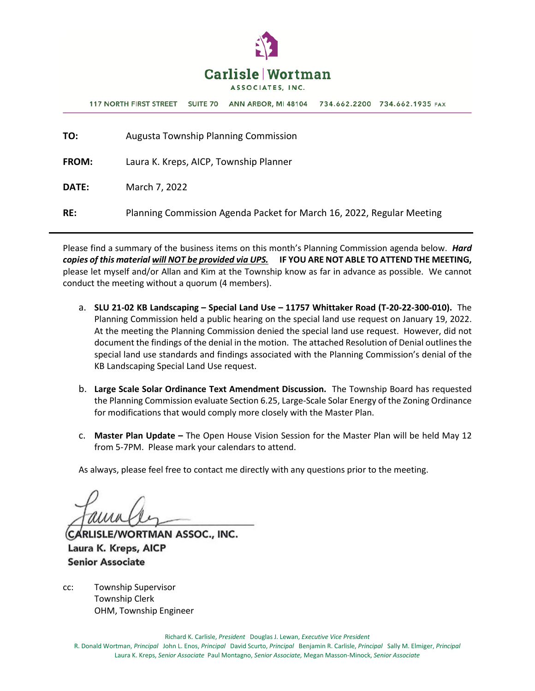

**117 NORTH FIRST STREET** SUITE 70 ANN ARBOR, MI 48104 734.662.2200 734.662.1935 FAX

| TO:          | <b>Augusta Township Planning Commission</b>                           |
|--------------|-----------------------------------------------------------------------|
| <b>FROM:</b> | Laura K. Kreps, AICP, Township Planner                                |
| <b>DATE:</b> | March 7, 2022                                                         |
| RE:          | Planning Commission Agenda Packet for March 16, 2022, Regular Meeting |

Please find a summary of the business items on this month's Planning Commission agenda below. *Hard copies of this material will NOT be provided via UPS.* **IF YOU ARE NOT ABLE TO ATTEND THE MEETING,**  please let myself and/or Allan and Kim at the Township know as far in advance as possible. We cannot conduct the meeting without a quorum (4 members).

- a. **SLU 21-02 KB Landscaping – Special Land Use – 11757 Whittaker Road (T-20-22-300-010).** The Planning Commission held a public hearing on the special land use request on January 19, 2022. At the meeting the Planning Commission denied the special land use request. However, did not document the findings of the denial in the motion. The attached Resolution of Denial outlines the special land use standards and findings associated with the Planning Commission's denial of the KB Landscaping Special Land Use request.
- b. **Large Scale Solar Ordinance Text Amendment Discussion.** The Township Board has requested the Planning Commission evaluate Section 6.25, Large-Scale Solar Energy of the Zoning Ordinance for modifications that would comply more closely with the Master Plan.
- c. **Master Plan Update –** The Open House Vision Session for the Master Plan will be held May 12 from 5-7PM. Please mark your calendars to attend.

As always, please feel free to contact me directly with any questions prior to the meeting.

CARLISLE/WORTMAN ASSOC., INC. Laura K. Kreps, AICP **Senior Associate** 

cc: Township Supervisor Township Clerk OHM, Township Engineer

Richard K. Carlisle, *President* Douglas J. Lewan, *Executive Vice President*

R. Donald Wortman, *Principal* John L. Enos, *Principal* David Scurto, *Principal* Benjamin R. Carlisle, *Principal* Sally M. Elmiger, *Principal* Laura K. Kreps, *Senior Associate* Paul Montagno, *Senior Associate,* Megan Masson-Minock, *Senior Associate*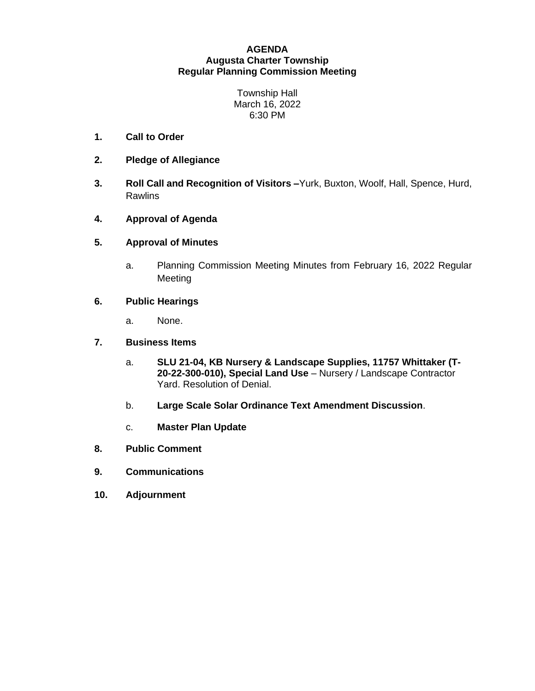#### **AGENDA Augusta Charter Township Regular Planning Commission Meeting**

Township Hall March 16, 2022 6:30 PM

- **1. Call to Order**
- **2. Pledge of Allegiance**
- **3. Roll Call and Recognition of Visitors –**Yurk, Buxton, Woolf, Hall, Spence, Hurd, Rawlins
- **4. Approval of Agenda**
- **5. Approval of Minutes**
	- a. Planning Commission Meeting Minutes from February 16, 2022 Regular Meeting

#### **6. Public Hearings**

a. None.

#### **7. Business Items**

- a. **SLU 21-04, KB Nursery & Landscape Supplies, 11757 Whittaker (T-20-22-300-010), Special Land Use** – Nursery / Landscape Contractor Yard. Resolution of Denial.
- b. **Large Scale Solar Ordinance Text Amendment Discussion**.
- c. **Master Plan Update**
- **8. Public Comment**
- **9. Communications**
- **10. Adjournment**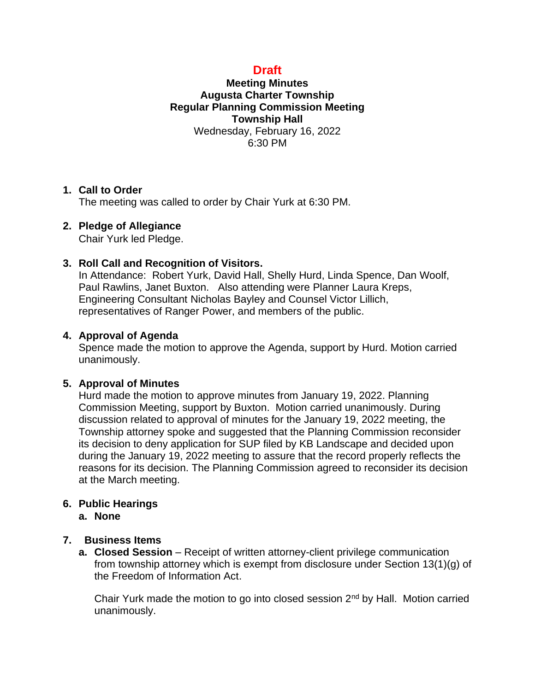# **Draft**

## **Meeting Minutes Augusta Charter Township Regular Planning Commission Meeting Township Hall** Wednesday, February 16, 2022 6:30 PM

### **1. Call to Order**

The meeting was called to order by Chair Yurk at 6:30 PM.

## **2. Pledge of Allegiance**

Chair Yurk led Pledge.

## **3. Roll Call and Recognition of Visitors.**

In Attendance: Robert Yurk, David Hall, Shelly Hurd, Linda Spence, Dan Woolf, Paul Rawlins, Janet Buxton. Also attending were Planner Laura Kreps, Engineering Consultant Nicholas Bayley and Counsel Victor Lillich, representatives of Ranger Power, and members of the public.

## **4. Approval of Agenda**

Spence made the motion to approve the Agenda, support by Hurd. Motion carried unanimously.

## **5. Approval of Minutes**

Hurd made the motion to approve minutes from January 19, 2022. Planning Commission Meeting, support by Buxton. Motion carried unanimously. During discussion related to approval of minutes for the January 19, 2022 meeting, the Township attorney spoke and suggested that the Planning Commission reconsider its decision to deny application for SUP filed by KB Landscape and decided upon during the January 19, 2022 meeting to assure that the record properly reflects the reasons for its decision. The Planning Commission agreed to reconsider its decision at the March meeting.

#### **6. Public Hearings a. None**

## **7. Business Items**

**a.** Closed Session – Receipt of written attorney-client privilege communication from township attorney which is exempt from disclosure under Section 13(1)(g) of the Freedom of Information Act.

Chair Yurk made the motion to go into closed session 2nd by Hall. Motion carried unanimously.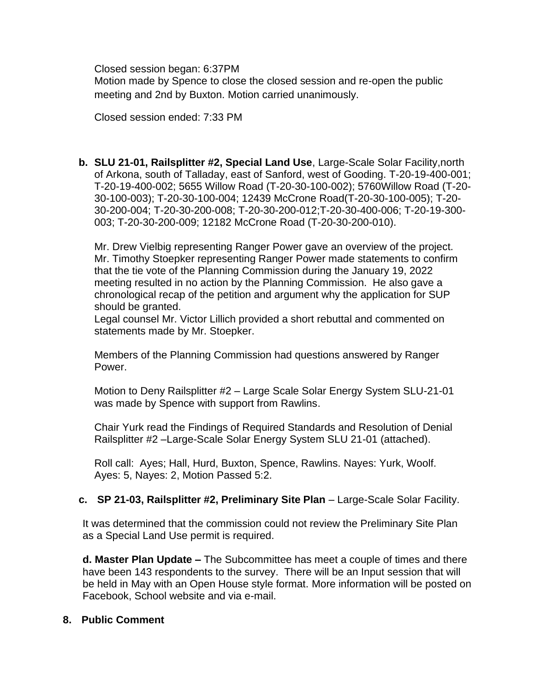Closed session began: 6:37PM

Motion made by Spence to close the closed session and re-open the public meeting and 2nd by Buxton. Motion carried unanimously.

Closed session ended: 7:33 PM

**b. SLU 21-01, Railsplitter #2, Special Land Use**, Large-Scale Solar Facility,north of Arkona, south of Talladay, east of Sanford, west of Gooding. T-20-19-400-001; T-20-19-400-002; 5655 Willow Road (T-20-30-100-002); 5760Willow Road (T-20- 30-100-003); T-20-30-100-004; 12439 McCrone Road(T-20-30-100-005); T-20- 30-200-004; T-20-30-200-008; T-20-30-200-012;T-20-30-400-006; T-20-19-300- 003; T-20-30-200-009; 12182 McCrone Road (T-20-30-200-010).

Mr. Drew Vielbig representing Ranger Power gave an overview of the project. Mr. Timothy Stoepker representing Ranger Power made statements to confirm that the tie vote of the Planning Commission during the January 19, 2022 meeting resulted in no action by the Planning Commission. He also gave a chronological recap of the petition and argument why the application for SUP should be granted.

Legal counsel Mr. Victor Lillich provided a short rebuttal and commented on statements made by Mr. Stoepker.

Members of the Planning Commission had questions answered by Ranger **Power** 

Motion to Deny Railsplitter #2 – Large Scale Solar Energy System SLU-21-01 was made by Spence with support from Rawlins.

Chair Yurk read the Findings of Required Standards and Resolution of Denial Railsplitter #2 –Large-Scale Solar Energy System SLU 21-01 (attached).

Roll call: Ayes; Hall, Hurd, Buxton, Spence, Rawlins. Nayes: Yurk, Woolf. Ayes: 5, Nayes: 2, Motion Passed 5:2.

## **c. SP 21-03, Railsplitter #2, Preliminary Site Plan** – Large-Scale Solar Facility.

It was determined that the commission could not review the Preliminary Site Plan as a Special Land Use permit is required.

**d. Master Plan Update –** The Subcommittee has meet a couple of times and there have been 143 respondents to the survey. There will be an Input session that will be held in May with an Open House style format. More information will be posted on Facebook, School website and via e-mail.

### **8. Public Comment**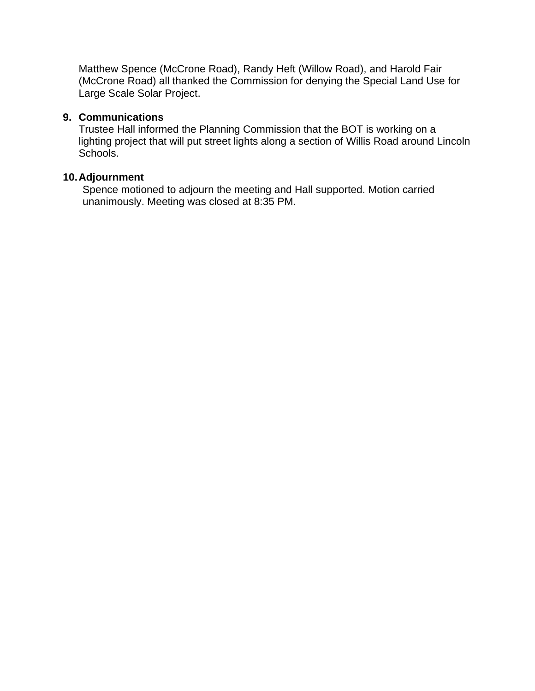Matthew Spence (McCrone Road), Randy Heft (Willow Road), and Harold Fair (McCrone Road) all thanked the Commission for denying the Special Land Use for Large Scale Solar Project.

### **9. Communications**

Trustee Hall informed the Planning Commission that the BOT is working on a lighting project that will put street lights along a section of Willis Road around Lincoln Schools.

#### **10.Adjournment**

Spence motioned to adjourn the meeting and Hall supported. Motion carried unanimously. Meeting was closed at 8:35 PM.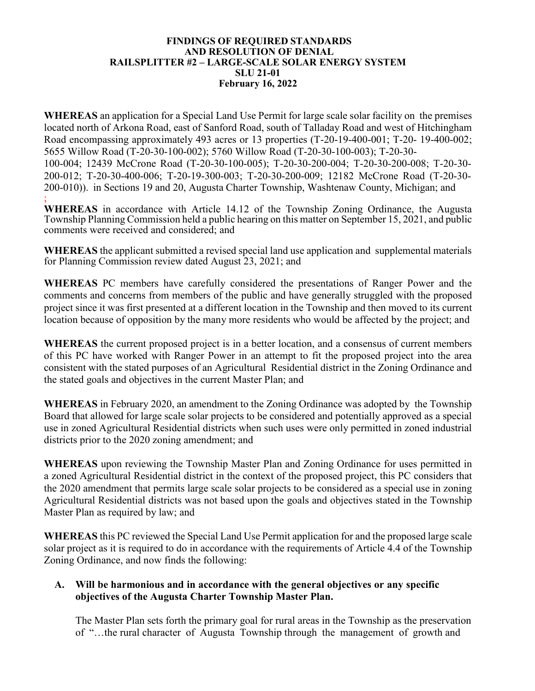#### **FINDINGS OF REQUIRED STANDARDS AND RESOLUTION OF DENIAL RAILSPLITTER #2 – LARGE-SCALE SOLAR ENERGY SYSTEM SLU 21-01 February 16, 2022**

**WHEREAS** an application for a Special Land Use Permit for large scale solar facility on the premises located north of Arkona Road, east of Sanford Road, south of Talladay Road and west of Hitchingham Road encompassing approximately 493 acres or 13 properties (T-20-19-400-001; T-20- 19-400-002; 5655 Willow Road (T-20-30-100-002); 5760 Willow Road (T-20-30-100-003); T-20-30- 100-004; 12439 McCrone Road (T-20-30-100-005); T-20-30-200-004; T-20-30-200-008; T-20-30- 200-012; T-20-30-400-006; T-20-19-300-003; T-20-30-200-009; 12182 McCrone Road (T-20-30- 200-010)). in Sections 19 and 20, Augusta Charter Township, Washtenaw County, Michigan; and ;

**WHEREAS** in accordance with Article 14.12 of the Township Zoning Ordinance, the Augusta Township Planning Commission held a public hearing on this matter on September 15, 2021, and public comments were received and considered; and

**WHEREAS** the applicant submitted a revised special land use application and supplemental materials for Planning Commission review dated August 23, 2021; and

**WHEREAS** PC members have carefully considered the presentations of Ranger Power and the comments and concerns from members of the public and have generally struggled with the proposed project since it was first presented at a different location in the Township and then moved to its current location because of opposition by the many more residents who would be affected by the project; and

**WHEREAS** the current proposed project is in a better location, and a consensus of current members of this PC have worked with Ranger Power in an attempt to fit the proposed project into the area consistent with the stated purposes of an Agricultural Residential district in the Zoning Ordinance and the stated goals and objectives in the current Master Plan; and

**WHEREAS** in February 2020, an amendment to the Zoning Ordinance was adopted by the Township Board that allowed for large scale solar projects to be considered and potentially approved as a special use in zoned Agricultural Residential districts when such uses were only permitted in zoned industrial districts prior to the 2020 zoning amendment; and

**WHEREAS** upon reviewing the Township Master Plan and Zoning Ordinance for uses permitted in a zoned Agricultural Residential district in the context of the proposed project, this PC considers that the 2020 amendment that permits large scale solar projects to be considered as a special use in zoning Agricultural Residential districts was not based upon the goals and objectives stated in the Township Master Plan as required by law; and

**WHEREAS** this PC reviewed the Special Land Use Permit application for and the proposed large scale solar project as it is required to do in accordance with the requirements of Article 4.4 of the Township Zoning Ordinance, and now finds the following:

### **A. Will be harmonious and in accordance with the general objectives or any specific objectives of the Augusta Charter Township Master Plan.**

The Master Plan sets forth the primary goal for rural areas in the Township as the preservation of "…the rural character of Augusta Township through the management of growth and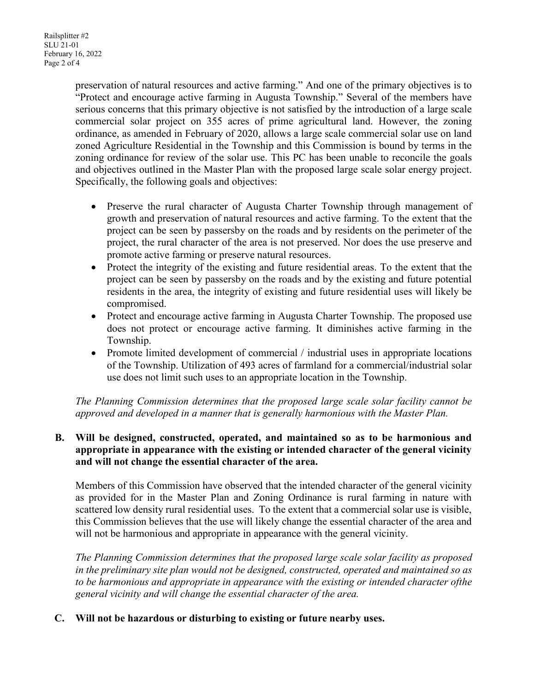preservation of natural resources and active farming." And one of the primary objectives is to "Protect and encourage active farming in Augusta Township." Several of the members have serious concerns that this primary objective is not satisfied by the introduction of a large scale commercial solar project on 355 acres of prime agricultural land. However, the zoning ordinance, as amended in February of 2020, allows a large scale commercial solar use on land zoned Agriculture Residential in the Township and this Commission is bound by terms in the zoning ordinance for review of the solar use. This PC has been unable to reconcile the goals and objectives outlined in the Master Plan with the proposed large scale solar energy project. Specifically, the following goals and objectives:

- Preserve the rural character of Augusta Charter Township through management of growth and preservation of natural resources and active farming. To the extent that the project can be seen by passersby on the roads and by residents on the perimeter of the project, the rural character of the area is not preserved. Nor does the use preserve and promote active farming or preserve natural resources.
- Protect the integrity of the existing and future residential areas. To the extent that the project can be seen by passersby on the roads and by the existing and future potential residents in the area, the integrity of existing and future residential uses will likely be compromised.
- Protect and encourage active farming in Augusta Charter Township. The proposed use does not protect or encourage active farming. It diminishes active farming in the Township.
- Promote limited development of commercial / industrial uses in appropriate locations of the Township. Utilization of 493 acres of farmland for a commercial/industrial solar use does not limit such uses to an appropriate location in the Township.

*The Planning Commission determines that the proposed large scale solar facility cannot be approved and developed in a manner that is generally harmonious with the Master Plan.*

### **B. Will be designed, constructed, operated, and maintained so as to be harmonious and appropriate in appearance with the existing or intended character of the general vicinity and will not change the essential character of the area.**

Members of this Commission have observed that the intended character of the general vicinity as provided for in the Master Plan and Zoning Ordinance is rural farming in nature with scattered low density rural residential uses. To the extent that a commercial solar use is visible, this Commission believes that the use will likely change the essential character of the area and will not be harmonious and appropriate in appearance with the general vicinity.

*The Planning Commission determines that the proposed large scale solar facility as proposed in the preliminary site plan would not be designed, constructed, operated and maintained so as to be harmonious and appropriate in appearance with the existing or intended character ofthe general vicinity and will change the essential character of the area.*

### **C. Will not be hazardous or disturbing to existing or future nearby uses.**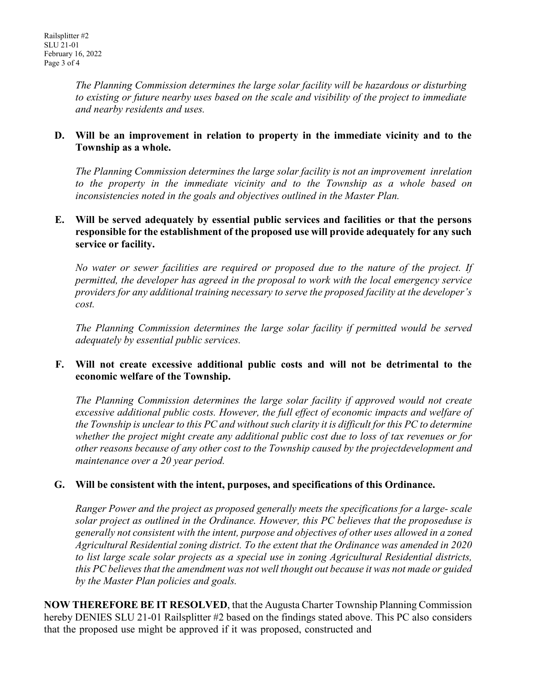*The Planning Commission determines the large solar facility will be hazardous or disturbing to existing or future nearby uses based on the scale and visibility of the project to immediate and nearby residents and uses.*

### **D. Will be an improvement in relation to property in the immediate vicinity and to the Township as a whole.**

*The Planning Commission determines the large solar facility is not an improvement inrelation to the property in the immediate vicinity and to the Township as a whole based on inconsistencies noted in the goals and objectives outlined in the Master Plan.*

### **E. Will be served adequately by essential public services and facilities or that the persons responsible for the establishment of the proposed use will provide adequately for any such service or facility.**

*No water or sewer facilities are required or proposed due to the nature of the project. If permitted, the developer has agreed in the proposal to work with the local emergency service providers for any additional training necessary to serve the proposed facility at the developer's cost.*

*The Planning Commission determines the large solar facility if permitted would be served adequately by essential public services.*

#### **F. Will not create excessive additional public costs and will not be detrimental to the economic welfare of the Township.**

*The Planning Commission determines the large solar facility if approved would not create excessive additional public costs. However, the full effect of economic impacts and welfare of the Township is unclear to this PC and without such clarity it is difficult for this PC to determine whether the project might create any additional public cost due to loss of tax revenues or for other reasons because of any other cost to the Township caused by the projectdevelopment and maintenance over a 20 year period.*

### **G. Will be consistent with the intent, purposes, and specifications of this Ordinance.**

*Ranger Power and the project as proposed generally meets the specifications for a large- scale solar project as outlined in the Ordinance. However, this PC believes that the proposeduse is generally not consistent with the intent, purpose and objectives of other uses allowed in a zoned Agricultural Residential zoning district. To the extent that the Ordinance was amended in 2020 to list large scale solar projects as a special use in zoning Agricultural Residential districts, this PC believes that the amendment was not well thought out because it was not made or guided by the Master Plan policies and goals.*

**NOW THEREFORE BE IT RESOLVED**, that the Augusta Charter Township Planning Commission hereby DENIES SLU 21-01 Railsplitter #2 based on the findings stated above. This PC also considers that the proposed use might be approved if it was proposed, constructed and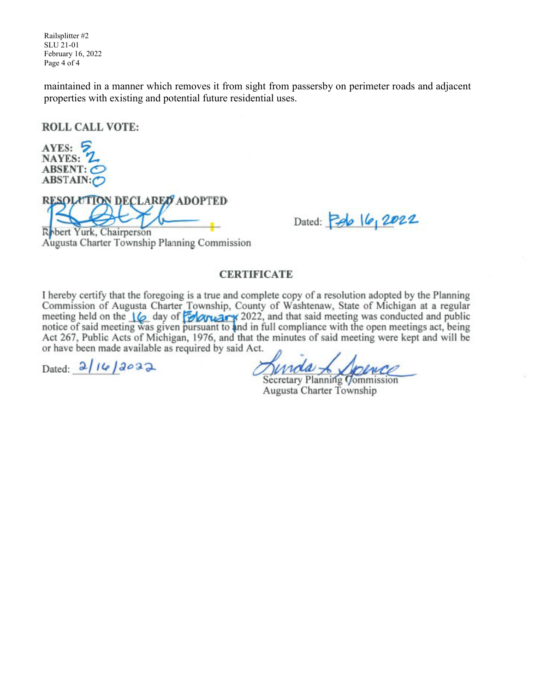Railsplitter #2 SLU 21-01 February 16, 2022 Page 4 of 4

maintained in a manner which removes it from sight from passersby on perimeter roads and adjacent properties with existing and potential future residential uses.

**ROLL CALL VOTE:** 

AYES: 2 NAYES: 2 ABSENT: O ABSTAIN:O

**RESOLUTION DECLARED ADOPTED** 

Dated:  $2022$ 

Robert Yurk, Chairperson Augusta Charter Township Planning Commission

#### **CERTIFICATE**

I hereby certify that the foregoing is a true and complete copy of a resolution adopted by the Planning Commission of Augusta Charter Township, County of Washtenaw, State of Michigan at a regular meeting held on the  $\frac{1}{2}$  day of **MARK** 2022, and that said meeting was conducted and public notice of said meeting was given pursuant to and in full compliance with the open meetings act, being Act 267, Public Acts of Michigan, 1976, and that the minutes of said meeting were kept and will be or have been made available as required by said Act.

Dated:  $2/14/2022$ 

Secretary Planning Commission Augusta Charter Township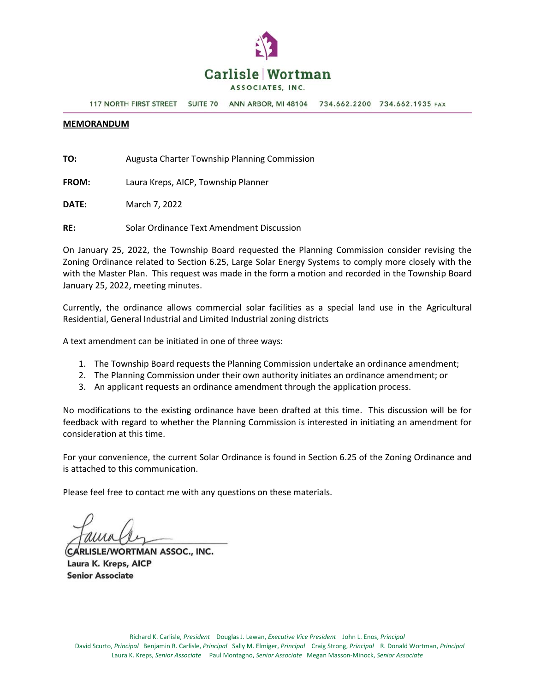

**117 NORTH FIRST STREET** SUITE 70 ANN ARBOR, MI 48104 734.662.2200 734.662.1935 FAX

#### **MEMORANDUM**

**TO:** Augusta Charter Township Planning Commission

**FROM:** Laura Kreps, AICP, Township Planner

**DATE:** March 7, 2022

**RE:** Solar Ordinance Text Amendment Discussion

On January 25, 2022, the Township Board requested the Planning Commission consider revising the Zoning Ordinance related to Section 6.25, Large Solar Energy Systems to comply more closely with the with the Master Plan. This request was made in the form a motion and recorded in the Township Board January 25, 2022, meeting minutes.

Currently, the ordinance allows commercial solar facilities as a special land use in the Agricultural Residential, General Industrial and Limited Industrial zoning districts

A text amendment can be initiated in one of three ways:

- 1. The Township Board requests the Planning Commission undertake an ordinance amendment;
- 2. The Planning Commission under their own authority initiates an ordinance amendment; or
- 3. An applicant requests an ordinance amendment through the application process.

No modifications to the existing ordinance have been drafted at this time. This discussion will be for feedback with regard to whether the Planning Commission is interested in initiating an amendment for consideration at this time.

For your convenience, the current Solar Ordinance is found in Section 6.25 of the Zoning Ordinance and is attached to this communication.

Please feel free to contact me with any questions on these materials.

CARLISLE/WORTMAN ASSOC., INC. Laura K. Kreps, AICP **Senior Associate**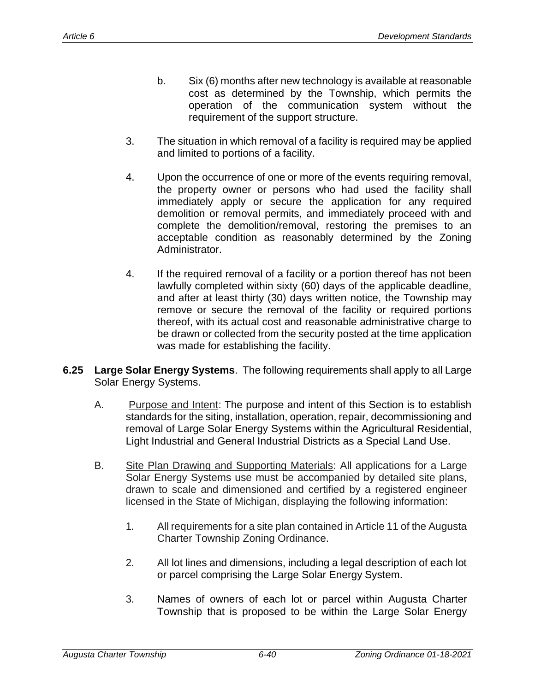- b. Six (6) months after new technology is available at reasonable cost as determined by the Township, which permits the operation of the communication system without the requirement of the support structure.
- 3. The situation in which removal of a facility is required may be applied and limited to portions of a facility.
- 4. Upon the occurrence of one or more of the events requiring removal, the property owner or persons who had used the facility shall immediately apply or secure the application for any required demolition or removal permits, and immediately proceed with and complete the demolition/removal, restoring the premises to an acceptable condition as reasonably determined by the Zoning Administrator.
- 4. If the required removal of a facility or a portion thereof has not been lawfully completed within sixty (60) days of the applicable deadline, and after at least thirty (30) days written notice, the Township may remove or secure the removal of the facility or required portions thereof, with its actual cost and reasonable administrative charge to be drawn or collected from the security posted at the time application was made for establishing the facility.
- **6.25 Large Solar Energy Systems**. The following requirements shall apply to all Large Solar Energy Systems.
	- A. Purpose and Intent: The purpose and intent of this Section is to establish standards for the siting, installation, operation, repair, decommissioning and removal of Large Solar Energy Systems within the Agricultural Residential, Light Industrial and General Industrial Districts as a Special Land Use.
	- B. Site Plan Drawing and Supporting Materials: All applications for a Large Solar Energy Systems use must be accompanied by detailed site plans, drawn to scale and dimensioned and certified by a registered engineer licensed in the State of Michigan, displaying the following information:
		- 1. All requirements for a site plan contained in Article 11 of the Augusta Charter Township Zoning Ordinance.
		- 2. All lot lines and dimensions, including a legal description of each lot or parcel comprising the Large Solar Energy System.
		- 3. Names of owners of each lot or parcel within Augusta Charter Township that is proposed to be within the Large Solar Energy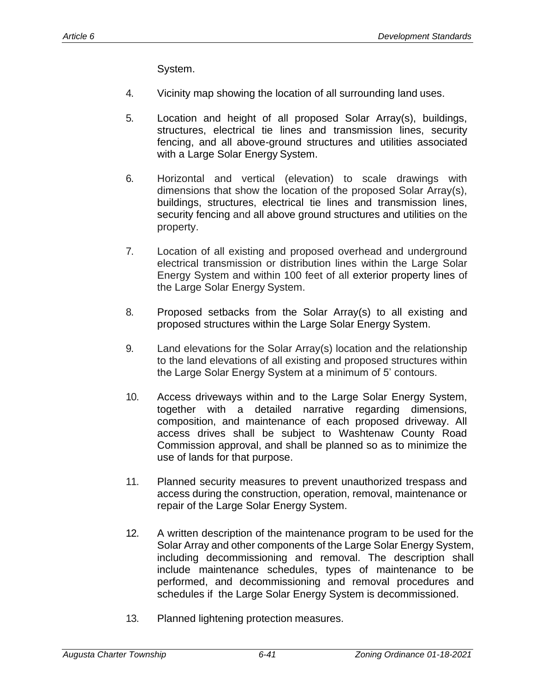System.

- 4. Vicinity map showing the location of all surrounding land uses.
- 5. Location and height of all proposed Solar Array(s), buildings, structures, electrical tie lines and transmission lines, security fencing, and all above-ground structures and utilities associated with a Large Solar Energy System.
- 6. Horizontal and vertical (elevation) to scale drawings with dimensions that show the location of the proposed Solar Array(s), buildings, structures, electrical tie lines and transmission lines, security fencing and all above ground structures and utilities on the property.
- 7. Location of all existing and proposed overhead and underground electrical transmission or distribution lines within the Large Solar Energy System and within 100 feet of all exterior property lines of the Large Solar Energy System.
- 8. Proposed setbacks from the Solar Array(s) to all existing and proposed structures within the Large Solar Energy System.
- 9. Land elevations for the Solar Array(s) location and the relationship to the land elevations of all existing and proposed structures within the Large Solar Energy System at a minimum of 5' contours.
- 10. Access driveways within and to the Large Solar Energy System, together with a detailed narrative regarding dimensions, composition, and maintenance of each proposed driveway. All access drives shall be subject to Washtenaw County Road Commission approval, and shall be planned so as to minimize the use of lands for that purpose.
- 11. Planned security measures to prevent unauthorized trespass and access during the construction, operation, removal, maintenance or repair of the Large Solar Energy System.
- 12. A written description of the maintenance program to be used for the Solar Array and other components of the Large Solar Energy System, including decommissioning and removal. The description shall include maintenance schedules, types of maintenance to be performed, and decommissioning and removal procedures and schedules if the Large Solar Energy System is decommissioned.
- 13. Planned lightening protection measures.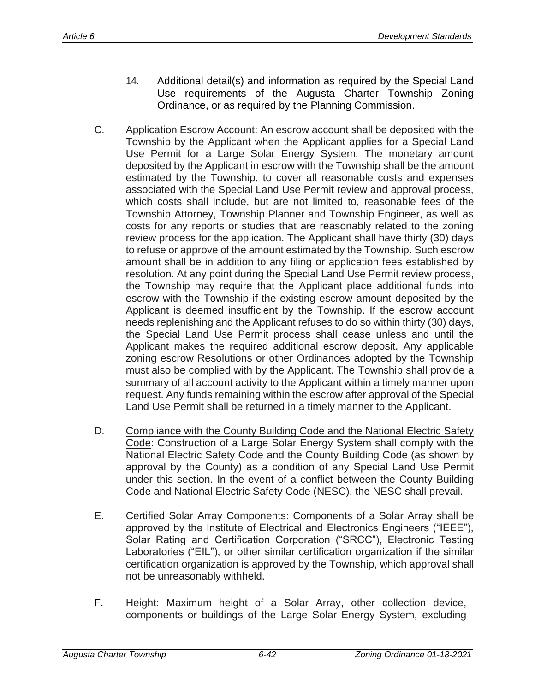- 14. Additional detail(s) and information as required by the Special Land Use requirements of the Augusta Charter Township Zoning Ordinance, or as required by the Planning Commission.
- C. Application Escrow Account: An escrow account shall be deposited with the Township by the Applicant when the Applicant applies for a Special Land Use Permit for a Large Solar Energy System. The monetary amount deposited by the Applicant in escrow with the Township shall be the amount estimated by the Township, to cover all reasonable costs and expenses associated with the Special Land Use Permit review and approval process, which costs shall include, but are not limited to, reasonable fees of the Township Attorney, Township Planner and Township Engineer, as well as costs for any reports or studies that are reasonably related to the zoning review process for the application. The Applicant shall have thirty (30) days to refuse or approve of the amount estimated by the Township. Such escrow amount shall be in addition to any filing or application fees established by resolution. At any point during the Special Land Use Permit review process, the Township may require that the Applicant place additional funds into escrow with the Township if the existing escrow amount deposited by the Applicant is deemed insufficient by the Township. If the escrow account needs replenishing and the Applicant refuses to do so within thirty (30) days, the Special Land Use Permit process shall cease unless and until the Applicant makes the required additional escrow deposit. Any applicable zoning escrow Resolutions or other Ordinances adopted by the Township must also be complied with by the Applicant. The Township shall provide a summary of all account activity to the Applicant within a timely manner upon request. Any funds remaining within the escrow after approval of the Special Land Use Permit shall be returned in a timely manner to the Applicant.
- D. Compliance with the County Building Code and the National Electric Safety Code: Construction of a Large Solar Energy System shall comply with the National Electric Safety Code and the County Building Code (as shown by approval by the County) as a condition of any Special Land Use Permit under this section. In the event of a conflict between the County Building Code and National Electric Safety Code (NESC), the NESC shall prevail.
- E. Certified Solar Array Components: Components of a Solar Array shall be approved by the Institute of Electrical and Electronics Engineers ("IEEE"), Solar Rating and Certification Corporation ("SRCC"), Electronic Testing Laboratories ("EIL"), or other similar certification organization if the similar certification organization is approved by the Township, which approval shall not be unreasonably withheld.
- F. Height: Maximum height of a Solar Array, other collection device, components or buildings of the Large Solar Energy System, excluding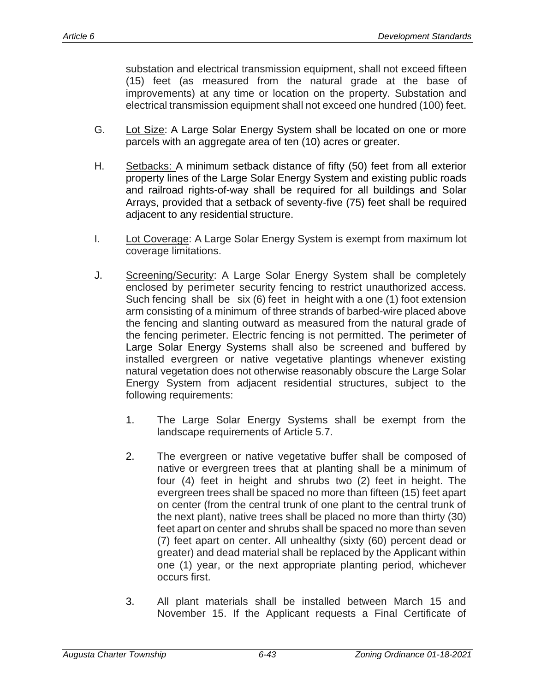substation and electrical transmission equipment, shall not exceed fifteen (15) feet (as measured from the natural grade at the base of improvements) at any time or location on the property. Substation and electrical transmission equipment shall not exceed one hundred (100) feet.

- G. Lot Size: A Large Solar Energy System shall be located on one or more parcels with an aggregate area of ten (10) acres or greater.
- H. Setbacks: A minimum setback distance of fifty (50) feet from all exterior property lines of the Large Solar Energy System and existing public roads and railroad rights-of-way shall be required for all buildings and Solar Arrays, provided that a setback of seventy-five (75) feet shall be required adjacent to any residential structure.
- I. Lot Coverage: A Large Solar Energy System is exempt from maximum lot coverage limitations.
- J. Screening/Security: A Large Solar Energy System shall be completely enclosed by perimeter security fencing to restrict unauthorized access. Such fencing shall be six (6) feet in height with a one (1) foot extension arm consisting of a minimum of three strands of barbed-wire placed above the fencing and slanting outward as measured from the natural grade of the fencing perimeter. Electric fencing is not permitted. The perimeter of Large Solar Energy Systems shall also be screened and buffered by installed evergreen or native vegetative plantings whenever existing natural vegetation does not otherwise reasonably obscure the Large Solar Energy System from adjacent residential structures, subject to the following requirements:
	- 1. The Large Solar Energy Systems shall be exempt from the landscape requirements of Article 5.7.
	- 2. The evergreen or native vegetative buffer shall be composed of native or evergreen trees that at planting shall be a minimum of four (4) feet in height and shrubs two (2) feet in height. The evergreen trees shall be spaced no more than fifteen (15) feet apart on center (from the central trunk of one plant to the central trunk of the next plant), native trees shall be placed no more than thirty (30) feet apart on center and shrubs shall be spaced no more than seven (7) feet apart on center. All unhealthy (sixty (60) percent dead or greater) and dead material shall be replaced by the Applicant within one (1) year, or the next appropriate planting period, whichever occurs first.
	- 3. All plant materials shall be installed between March 15 and November 15. If the Applicant requests a Final Certificate of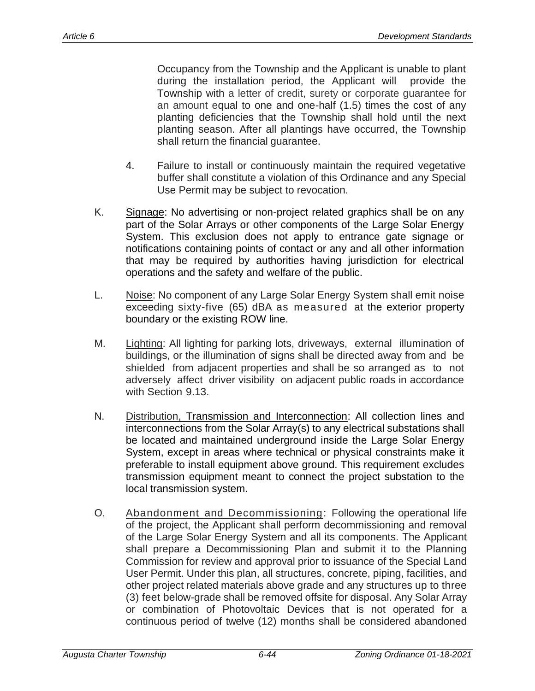Occupancy from the Township and the Applicant is unable to plant during the installation period, the Applicant will provide the Township with a letter of credit, surety or corporate guarantee for an amount equal to one and one-half (1.5) times the cost of any planting deficiencies that the Township shall hold until the next planting season. After all plantings have occurred, the Township shall return the financial guarantee.

- 4. Failure to install or continuously maintain the required vegetative buffer shall constitute a violation of this Ordinance and any Special Use Permit may be subject to revocation.
- K. Signage: No advertising or non-project related graphics shall be on any part of the Solar Arrays or other components of the Large Solar Energy System. This exclusion does not apply to entrance gate signage or notifications containing points of contact or any and all other information that may be required by authorities having jurisdiction for electrical operations and the safety and welfare of the public.
- L. Noise: No component of any Large Solar Energy System shall emit noise exceeding sixty-five (65) dBA as measured at the exterior property boundary or the existing ROW line.
- M. Lighting: All lighting for parking lots, driveways, external illumination of buildings, or the illumination of signs shall be directed away from and be shielded from adjacent properties and shall be so arranged as to not adversely affect driver visibility on adjacent public roads in accordance with Section 9.13.
- N. Distribution, Transmission and Interconnection: All collection lines and interconnections from the Solar Array(s) to any electrical substations shall be located and maintained underground inside the Large Solar Energy System, except in areas where technical or physical constraints make it preferable to install equipment above ground. This requirement excludes transmission equipment meant to connect the project substation to the local transmission system.
- O. Abandonment and Decommissioning: Following the operational life of the project, the Applicant shall perform decommissioning and removal of the Large Solar Energy System and all its components. The Applicant shall prepare a Decommissioning Plan and submit it to the Planning Commission for review and approval prior to issuance of the Special Land User Permit. Under this plan, all structures, concrete, piping, facilities, and other project related materials above grade and any structures up to three (3) feet below-grade shall be removed offsite for disposal. Any Solar Array or combination of Photovoltaic Devices that is not operated for a continuous period of twelve (12) months shall be considered abandoned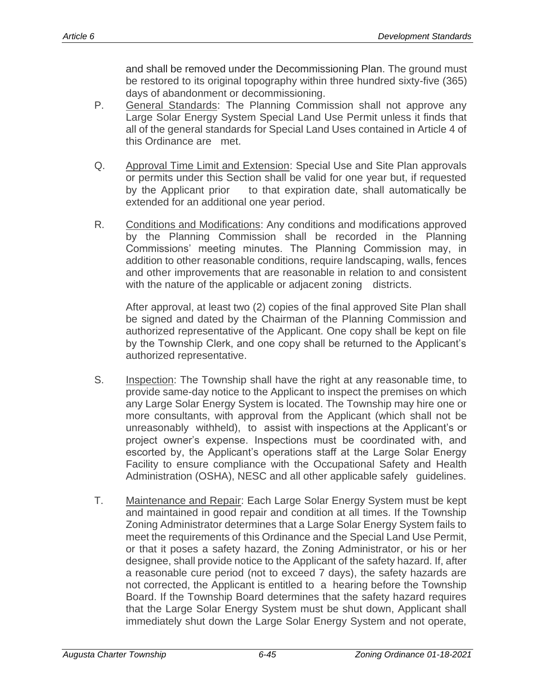and shall be removed under the Decommissioning Plan. The ground must be restored to its original topography within three hundred sixty-five (365) days of abandonment or decommissioning.

- P. General Standards: The Planning Commission shall not approve any Large Solar Energy System Special Land Use Permit unless it finds that all of the general standards for Special Land Uses contained in Article 4 of this Ordinance are met.
- Q. Approval Time Limit and Extension: Special Use and Site Plan approvals or permits under this Section shall be valid for one year but, if requested by the Applicant prior to that expiration date, shall automatically be extended for an additional one year period.
- R. Conditions and Modifications: Any conditions and modifications approved by the Planning Commission shall be recorded in the Planning Commissions' meeting minutes. The Planning Commission may, in addition to other reasonable conditions, require landscaping, walls, fences and other improvements that are reasonable in relation to and consistent with the nature of the applicable or adjacent zoning districts.

After approval, at least two (2) copies of the final approved Site Plan shall be signed and dated by the Chairman of the Planning Commission and authorized representative of the Applicant. One copy shall be kept on file by the Township Clerk, and one copy shall be returned to the Applicant's authorized representative.

- S. Inspection: The Township shall have the right at any reasonable time, to provide same-day notice to the Applicant to inspect the premises on which any Large Solar Energy System is located. The Township may hire one or more consultants, with approval from the Applicant (which shall not be unreasonably withheld), to assist with inspections at the Applicant's or project owner's expense. Inspections must be coordinated with, and escorted by, the Applicant's operations staff at the Large Solar Energy Facility to ensure compliance with the Occupational Safety and Health Administration (OSHA), NESC and all other applicable safely guidelines.
- T. Maintenance and Repair: Each Large Solar Energy System must be kept and maintained in good repair and condition at all times. If the Township Zoning Administrator determines that a Large Solar Energy System fails to meet the requirements of this Ordinance and the Special Land Use Permit, or that it poses a safety hazard, the Zoning Administrator, or his or her designee, shall provide notice to the Applicant of the safety hazard. If, after a reasonable cure period (not to exceed 7 days), the safety hazards are not corrected, the Applicant is entitled to a hearing before the Township Board. If the Township Board determines that the safety hazard requires that the Large Solar Energy System must be shut down, Applicant shall immediately shut down the Large Solar Energy System and not operate,